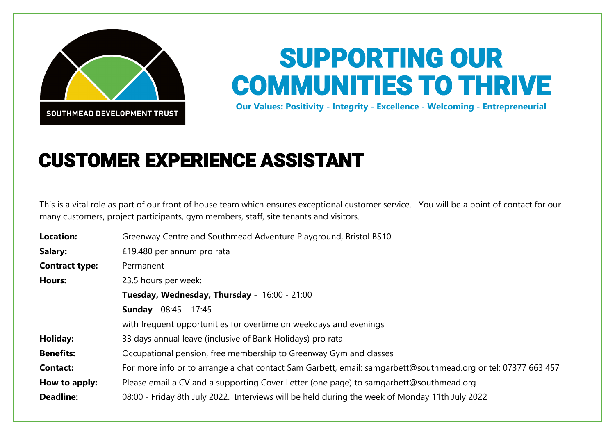

## SUPPORTING OUR COMMUNITIES TO THRIVE

**Our Values: Positivity - Integrity - Excellence - Welcoming - Entrepreneurial**

## CUSTOMER EXPERIENCE ASSISTANT

This is a vital role as part of our front of house team which ensures exceptional customer service. You will be a point of contact for our many customers, project participants, gym members, staff, site tenants and visitors.

| <b>Location:</b>      | Greenway Centre and Southmead Adventure Playground, Bristol BS10                                              |
|-----------------------|---------------------------------------------------------------------------------------------------------------|
| Salary:               | £19,480 per annum pro rata                                                                                    |
| <b>Contract type:</b> | Permanent                                                                                                     |
| <b>Hours:</b>         | 23.5 hours per week:                                                                                          |
|                       | Tuesday, Wednesday, Thursday - 16:00 - 21:00                                                                  |
|                       | <b>Sunday</b> - $08:45 - 17:45$                                                                               |
|                       | with frequent opportunities for overtime on weekdays and evenings                                             |
| Holiday:              | 33 days annual leave (inclusive of Bank Holidays) pro rata                                                    |
| <b>Benefits:</b>      | Occupational pension, free membership to Greenway Gym and classes                                             |
| <b>Contact:</b>       | For more info or to arrange a chat contact Sam Garbett, email: samgarbett@southmead.org or tel: 07377 663 457 |
| How to apply:         | Please email a CV and a supporting Cover Letter (one page) to samgarbett@southmead.org                        |
| <b>Deadline:</b>      | 08:00 - Friday 8th July 2022. Interviews will be held during the week of Monday 11th July 2022                |